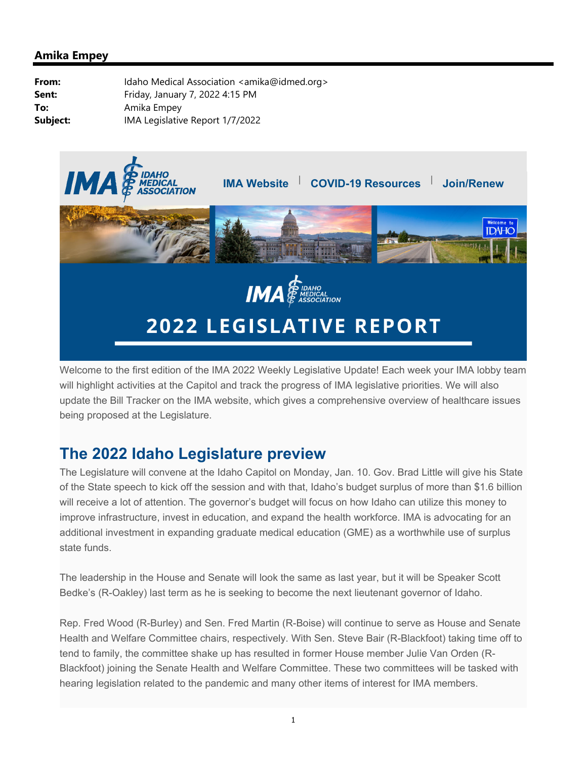

Welcome to the first edition of the IMA 2022 Weekly Legislative Update! Each week your IMA lobby team will highlight activities at the Capitol and track the progress of IMA legislative priorities. We will also update the Bill Tracker on the IMA website, which gives a comprehensive overview of healthcare issues being proposed at the Legislature.

# **The 2022 Idaho Legislature preview**

The Legislature will convene at the Idaho Capitol on Monday, Jan. 10. Gov. Brad Little will give his State of the State speech to kick off the session and with that, Idaho's budget surplus of more than \$1.6 billion will receive a lot of attention. The governor's budget will focus on how Idaho can utilize this money to improve infrastructure, invest in education, and expand the health workforce. IMA is advocating for an additional investment in expanding graduate medical education (GME) as a worthwhile use of surplus state funds.

The leadership in the House and Senate will look the same as last year, but it will be Speaker Scott Bedke's (R-Oakley) last term as he is seeking to become the next lieutenant governor of Idaho.

Rep. Fred Wood (R-Burley) and Sen. Fred Martin (R-Boise) will continue to serve as House and Senate Health and Welfare Committee chairs, respectively. With Sen. Steve Bair (R-Blackfoot) taking time off to tend to family, the committee shake up has resulted in former House member Julie Van Orden (R-Blackfoot) joining the Senate Health and Welfare Committee. These two committees will be tasked with hearing legislation related to the pandemic and many other items of interest for IMA members.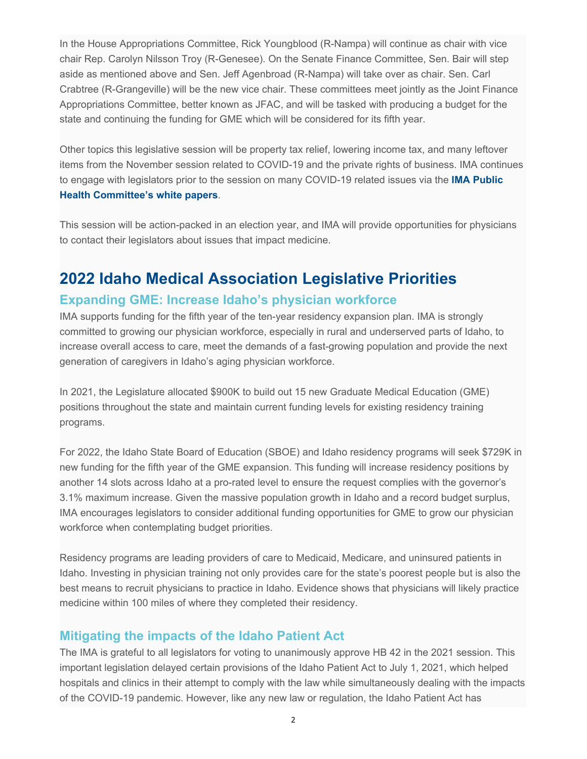In the House Appropriations Committee, Rick Youngblood (R-Nampa) will continue as chair with vice chair Rep. Carolyn Nilsson Troy (R-Genesee). On the Senate Finance Committee, Sen. Bair will step aside as mentioned above and Sen. Jeff Agenbroad (R-Nampa) will take over as chair. Sen. Carl Crabtree (R-Grangeville) will be the new vice chair. These committees meet jointly as the Joint Finance Appropriations Committee, better known as JFAC, and will be tasked with producing a budget for the state and continuing the funding for GME which will be considered for its fifth year.

Other topics this legislative session will be property tax relief, lowering income tax, and many leftover items from the November session related to COVID-19 and the private rights of business. IMA continues to engage with legislators prior to the session on many COVID-19 related issues via the **IMA Public Health Committee's white papers**.

This session will be action-packed in an election year, and IMA will provide opportunities for physicians to contact their legislators about issues that impact medicine.

### **2022 Idaho Medical Association Legislative Priorities**

#### **Expanding GME: Increase Idaho's physician workforce**

IMA supports funding for the fifth year of the ten-year residency expansion plan. IMA is strongly committed to growing our physician workforce, especially in rural and underserved parts of Idaho, to increase overall access to care, meet the demands of a fast-growing population and provide the next generation of caregivers in Idaho's aging physician workforce.

In 2021, the Legislature allocated \$900K to build out 15 new Graduate Medical Education (GME) positions throughout the state and maintain current funding levels for existing residency training programs.

For 2022, the Idaho State Board of Education (SBOE) and Idaho residency programs will seek \$729K in new funding for the fifth year of the GME expansion. This funding will increase residency positions by another 14 slots across Idaho at a pro-rated level to ensure the request complies with the governor's 3.1% maximum increase. Given the massive population growth in Idaho and a record budget surplus, IMA encourages legislators to consider additional funding opportunities for GME to grow our physician workforce when contemplating budget priorities.

Residency programs are leading providers of care to Medicaid, Medicare, and uninsured patients in Idaho. Investing in physician training not only provides care for the state's poorest people but is also the best means to recruit physicians to practice in Idaho. Evidence shows that physicians will likely practice medicine within 100 miles of where they completed their residency.

### **Mitigating the impacts of the Idaho Patient Act**

The IMA is grateful to all legislators for voting to unanimously approve HB 42 in the 2021 session. This important legislation delayed certain provisions of the Idaho Patient Act to July 1, 2021, which helped hospitals and clinics in their attempt to comply with the law while simultaneously dealing with the impacts of the COVID-19 pandemic. However, like any new law or regulation, the Idaho Patient Act has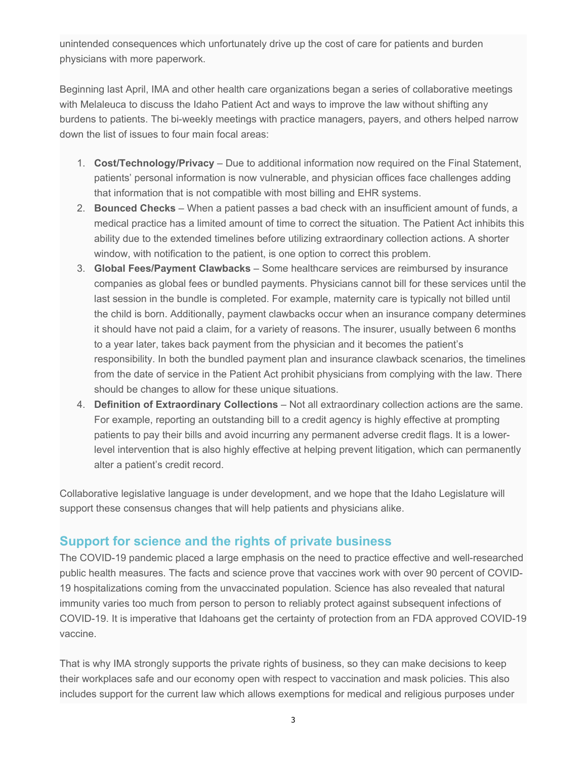unintended consequences which unfortunately drive up the cost of care for patients and burden physicians with more paperwork.

Beginning last April, IMA and other health care organizations began a series of collaborative meetings with Melaleuca to discuss the Idaho Patient Act and ways to improve the law without shifting any burdens to patients. The bi-weekly meetings with practice managers, payers, and others helped narrow down the list of issues to four main focal areas:

- 1. **Cost/Technology/Privacy** Due to additional information now required on the Final Statement, patients' personal information is now vulnerable, and physician offices face challenges adding that information that is not compatible with most billing and EHR systems.
- 2. **Bounced Checks** When a patient passes a bad check with an insufficient amount of funds, a medical practice has a limited amount of time to correct the situation. The Patient Act inhibits this ability due to the extended timelines before utilizing extraordinary collection actions. A shorter window, with notification to the patient, is one option to correct this problem.
- 3. **Global Fees/Payment Clawbacks** Some healthcare services are reimbursed by insurance companies as global fees or bundled payments. Physicians cannot bill for these services until the last session in the bundle is completed. For example, maternity care is typically not billed until the child is born. Additionally, payment clawbacks occur when an insurance company determines it should have not paid a claim, for a variety of reasons. The insurer, usually between 6 months to a year later, takes back payment from the physician and it becomes the patient's responsibility. In both the bundled payment plan and insurance clawback scenarios, the timelines from the date of service in the Patient Act prohibit physicians from complying with the law. There should be changes to allow for these unique situations.
- 4. **Definition of Extraordinary Collections** Not all extraordinary collection actions are the same. For example, reporting an outstanding bill to a credit agency is highly effective at prompting patients to pay their bills and avoid incurring any permanent adverse credit flags. It is a lowerlevel intervention that is also highly effective at helping prevent litigation, which can permanently alter a patient's credit record.

Collaborative legislative language is under development, and we hope that the Idaho Legislature will support these consensus changes that will help patients and physicians alike.

### **Support for science and the rights of private business**

The COVID-19 pandemic placed a large emphasis on the need to practice effective and well-researched public health measures. The facts and science prove that vaccines work with over 90 percent of COVID-19 hospitalizations coming from the unvaccinated population. Science has also revealed that natural immunity varies too much from person to person to reliably protect against subsequent infections of COVID-19. It is imperative that Idahoans get the certainty of protection from an FDA approved COVID-19 vaccine.

That is why IMA strongly supports the private rights of business, so they can make decisions to keep their workplaces safe and our economy open with respect to vaccination and mask policies. This also includes support for the current law which allows exemptions for medical and religious purposes under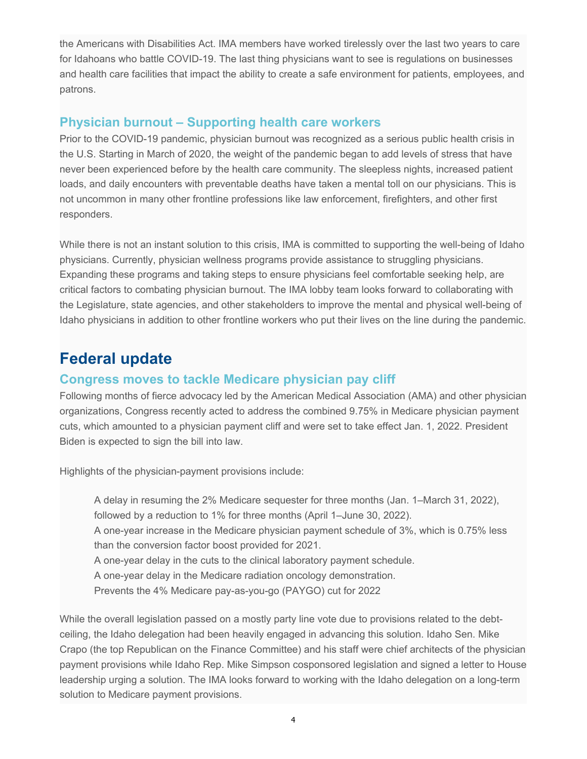the Americans with Disabilities Act. IMA members have worked tirelessly over the last two years to care for Idahoans who battle COVID-19. The last thing physicians want to see is regulations on businesses and health care facilities that impact the ability to create a safe environment for patients, employees, and patrons.

#### **Physician burnout – Supporting health care workers**

Prior to the COVID-19 pandemic, physician burnout was recognized as a serious public health crisis in the U.S. Starting in March of 2020, the weight of the pandemic began to add levels of stress that have never been experienced before by the health care community. The sleepless nights, increased patient loads, and daily encounters with preventable deaths have taken a mental toll on our physicians. This is not uncommon in many other frontline professions like law enforcement, firefighters, and other first responders.

While there is not an instant solution to this crisis, IMA is committed to supporting the well-being of Idaho physicians. Currently, physician wellness programs provide assistance to struggling physicians. Expanding these programs and taking steps to ensure physicians feel comfortable seeking help, are critical factors to combating physician burnout. The IMA lobby team looks forward to collaborating with the Legislature, state agencies, and other stakeholders to improve the mental and physical well-being of Idaho physicians in addition to other frontline workers who put their lives on the line during the pandemic.

# **Federal update**

#### **Congress moves to tackle Medicare physician pay cliff**

Following months of fierce advocacy led by the American Medical Association (AMA) and other physician organizations, Congress recently acted to address the combined 9.75% in Medicare physician payment cuts, which amounted to a physician payment cliff and were set to take effect Jan. 1, 2022. President Biden is expected to sign the bill into law.

Highlights of the physician-payment provisions include:

A delay in resuming the 2% Medicare sequester for three months (Jan. 1–March 31, 2022), followed by a reduction to 1% for three months (April 1–June 30, 2022).

A one-year increase in the Medicare physician payment schedule of 3%, which is 0.75% less than the conversion factor boost provided for 2021.

A one-year delay in the cuts to the clinical laboratory payment schedule.

A one-year delay in the Medicare radiation oncology demonstration.

Prevents the 4% Medicare pay-as-you-go (PAYGO) cut for 2022

While the overall legislation passed on a mostly party line vote due to provisions related to the debtceiling, the Idaho delegation had been heavily engaged in advancing this solution. Idaho Sen. Mike Crapo (the top Republican on the Finance Committee) and his staff were chief architects of the physician payment provisions while Idaho Rep. Mike Simpson cosponsored legislation and signed a letter to House leadership urging a solution. The IMA looks forward to working with the Idaho delegation on a long-term solution to Medicare payment provisions.